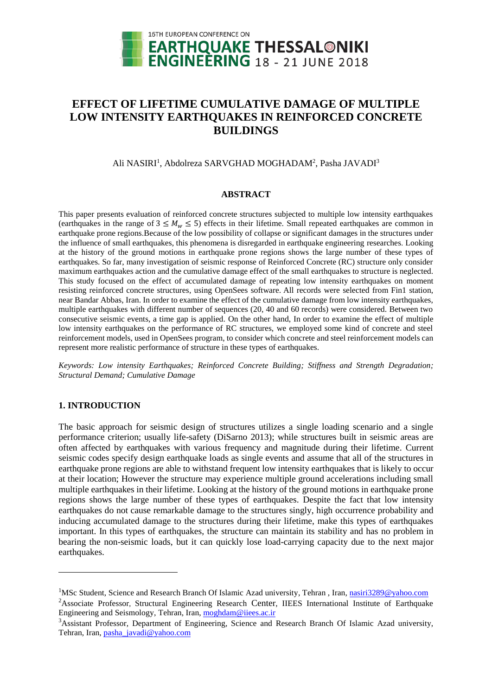

# **EFFECT OF LIFETIME CUMULATIVE DAMAGE OF MULTIPLE LOW INTENSITY EARTHQUAKES IN REINFORCED CONCRETE BUILDINGS**

## Ali NASIRI<sup>1</sup>, Abdolreza SARVGHAD MOGHADAM<sup>2</sup>, Pasha JAVADI<sup>3</sup>

#### **ABSTRACT**

This paper presents evaluation of reinforced concrete structures subjected to multiple low intensity earthquakes (earthquakes in the range of  $3 \leq M_w \leq 5$ ) effects in their lifetime. Small repeated earthquakes are common in earthquake prone regions.Because of the low possibility of collapse or significant damages in the structures under the influence of small earthquakes, this phenomena is disregarded in earthquake engineering researches. Looking at the history of the ground motions in earthquake prone regions shows the large number of these types of earthquakes. So far, many investigation of seismic response of Reinforced Concrete (RC) structure only consider maximum earthquakes action and the cumulative damage effect of the small earthquakes to structure is neglected. This study focused on the effect of accumulated damage of repeating low intensity earthquakes on moment resisting reinforced concrete structures, using OpenSees software. All records were selected from Fin1 station, near Bandar Abbas, Iran. In order to examine the effect of the cumulative damage from low intensity earthquakes, multiple earthquakes with different number of sequences (20, 40 and 60 records) were considered. Between two consecutive seismic events, a time gap is applied. On the other hand, In order to examine the effect of multiple low intensity earthquakes on the performance of RC structures, we employed some kind of concrete and steel reinforcement models, used in OpenSees program, to consider which concrete and steel reinforcement models can represent more realistic performance of structure in these types of earthquakes.

*Keywords: Low intensity Earthquakes; Reinforced Concrete Building; Stiffness and Strength Degradation; Structural Demand; Cumulative Damage*

## **1. INTRODUCTION**

 $\overline{\phantom{a}}$ 

The basic approach for seismic design of structures utilizes a single loading scenario and a single performance criterion; usually life-safety (DiSarno 2013); while structures built in seismic areas are often affected by earthquakes with various frequency and magnitude during their lifetime. Current seismic codes specify design earthquake loads as single events and assume that all of the structures in earthquake prone regions are able to withstand frequent low intensity earthquakes that is likely to occur at their location; However the structure may experience multiple ground accelerations including small multiple earthquakes in their lifetime. Looking at the history of the ground motions in earthquake prone regions shows the large number of these types of earthquakes. Despite the fact that low intensity earthquakes do not cause remarkable damage to the structures singly, high occurrence probability and inducing accumulated damage to the structures during their lifetime, make this types of earthquakes important. In this types of earthquakes, the structure can maintain its stability and has no problem in bearing the non-seismic loads, but it can quickly lose load-carrying capacity due to the next major earthquakes.

<sup>&</sup>lt;sup>1</sup>MSc Student, Science and Research Branch Of Islamic Azad university, Tehran, Iran, [nasiri3289@yahoo.com](mailto:nasiri3289@yahoo.com) <sup>2</sup>Associate Professor, Structural Engineering Research Center, IIEES International Institute of Earthquake Engineering and Seismology, Tehran, Iran, [moghdam@iiees.ac.ir](mailto:moghdam@iiees.ac.ir2)

<sup>&</sup>lt;sup>3</sup>Assistant Professor, Department of Engineering, Science and Research Branch Of Islamic Azad university, Tehran, Iran, [pasha\\_javadi@yahoo.com](mailto:pasha_javadi@yahoo.com)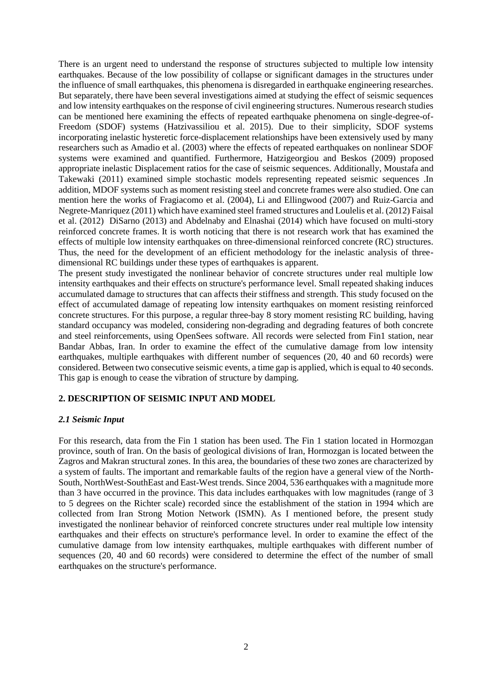There is an urgent need to understand the response of structures subjected to multiple low intensity earthquakes. Because of the low possibility of collapse or significant damages in the structures under the influence of small earthquakes, this phenomena is disregarded in earthquake engineering researches. But separately, there have been several investigations aimed at studying the effect of seismic sequences and low intensity earthquakes on the response of civil engineering structures. Numerous research studies can be mentioned here examining the effects of repeated earthquake phenomena on single-degree-of-Freedom (SDOF) systems (Hatzivassiliou et al. 2015). Due to their simplicity, SDOF systems incorporating inelastic hysteretic force-displacement relationships have been extensively used by many researchers such as Amadio et al. (2003) where the effects of repeated earthquakes on nonlinear SDOF systems were examined and quantified. Furthermore, Hatzigeorgiou and Beskos (2009) proposed appropriate inelastic Displacement ratios for the case of seismic sequences. Additionally, Moustafa and Takewaki (2011) examined simple stochastic models representing repeated seismic sequences .In addition, MDOF systems such as moment resisting steel and concrete frames were also studied. One can mention here the works of Fragiacomo et al. (2004), Li and Ellingwood (2007) and Ruiz-Garcia and Negrete-Manriquez (2011) which have examined steel framed structures and Loulelis et al. (2012) Faisal et al. (2012) DiSarno (2013) and Abdelnaby and Elnashai (2014) which have focused on multi-story reinforced concrete frames. It is worth noticing that there is not research work that has examined the effects of multiple low intensity earthquakes on three-dimensional reinforced concrete (RC) structures. Thus, the need for the development of an efficient methodology for the inelastic analysis of threedimensional RC buildings under these types of earthquakes is apparent.

The present study investigated the nonlinear behavior of concrete structures under real multiple low intensity earthquakes and their effects on structure's performance level. Small repeated shaking induces accumulated damage to structures that can affects their stiffness and strength. This study focused on the effect of accumulated damage of repeating low intensity earthquakes on moment resisting reinforced concrete structures. For this purpose, a regular three-bay 8 story moment resisting RC building, having standard occupancy was modeled, considering non-degrading and degrading features of both concrete and steel reinforcements, using OpenSees software. All records were selected from Fin1 station, near Bandar Abbas, Iran. In order to examine the effect of the cumulative damage from low intensity earthquakes, multiple earthquakes with different number of sequences (20, 40 and 60 records) were considered. Between two consecutive seismic events, a time gap is applied, which is equal to 40 seconds. This gap is enough to cease the vibration of structure by damping.

## **2. DESCRIPTION OF SEISMIC INPUT AND MODEL**

#### *2.1 Seismic Input*

For this research, data from the Fin 1 station has been used. The Fin 1 station located in Hormozgan province, south of Iran. On the basis of geological divisions of Iran, Hormozgan is located between the Zagros and Makran structural zones. In this area, the boundaries of these two zones are characterized by a system of faults. The important and remarkable faults of the region have a general view of the North-South, NorthWest-SouthEast and East-West trends. Since 2004, 536 earthquakes with a magnitude more than 3 have occurred in the province. This data includes earthquakes with low magnitudes (range of 3 to 5 degrees on the Richter scale) recorded since the establishment of the station in 1994 which are collected from Iran Strong Motion Network (ISMN). As I mentioned before, the present study investigated the nonlinear behavior of reinforced concrete structures under real multiple low intensity earthquakes and their effects on structure's performance level. In order to examine the effect of the cumulative damage from low intensity earthquakes, multiple earthquakes with different number of sequences (20, 40 and 60 records) were considered to determine the effect of the number of small earthquakes on the structure's performance.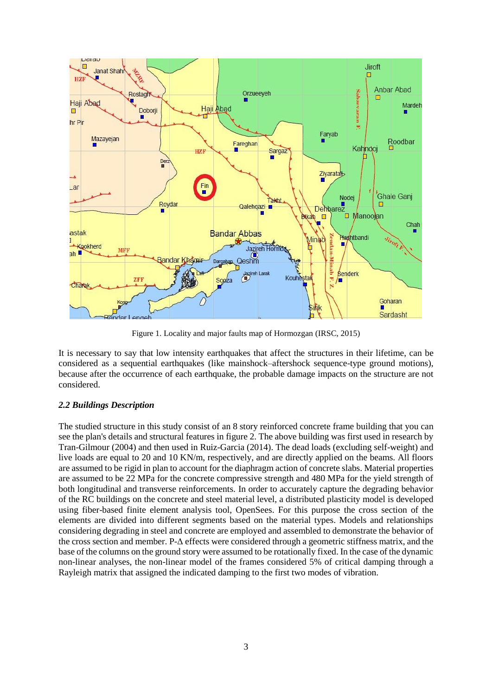

Figure 1. Locality and major faults map of Hormozgan (IRSC, 2015)

It is necessary to say that low intensity earthquakes that affect the structures in their lifetime, can be considered as a sequential earthquakes (like mainshock–aftershock sequence-type ground motions), because after the occurrence of each earthquake, the probable damage impacts on the structure are not considered.

# *2.2 Buildings Description*

The studied structure in this study consist of an 8 story reinforced concrete frame building that you can see the plan's details and structural features in figure 2. The above building was first used in research by Tran-Gilmour (2004) and then used in Ruiz-Garcia (2014). The dead loads (excluding self-weight) and live loads are equal to 20 and 10 KN/m, respectively, and are directly applied on the beams. All floors are assumed to be rigid in plan to account for the diaphragm action of concrete slabs. Material properties are assumed to be 22 MPa for the concrete compressive strength and 480 MPa for the yield strength of both longitudinal and transverse reinforcements. In order to accurately capture the degrading behavior of the RC buildings on the concrete and steel material level, a distributed plasticity model is developed using fiber-based finite element analysis tool, OpenSees. For this purpose the cross section of the elements are divided into different segments based on the material types. Models and relationships considering degrading in steel and concrete are employed and assembled to demonstrate the behavior of the cross section and member. P-Δ effects were considered through a geometric stiffness matrix, and the base of the columns on the ground story were assumed to be rotationally fixed. In the case of the dynamic non-linear analyses, the non-linear model of the frames considered 5% of critical damping through a Rayleigh matrix that assigned the indicated damping to the first two modes of vibration.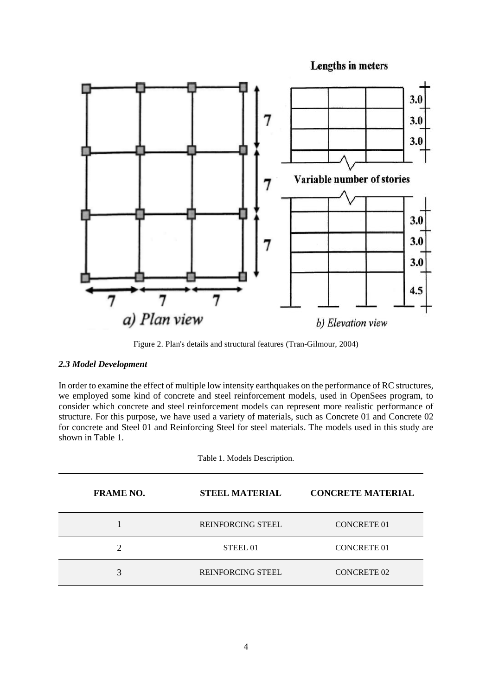**Lengths in meters** 



Figure 2. Plan's details and structural features (Tran-Gilmour, 2004)

## *2.3 Model Development*

In order to examine the effect of multiple low intensity earthquakes on the performance of RC structures, we employed some kind of concrete and steel reinforcement models, used in OpenSees program, to consider which concrete and steel reinforcement models can represent more realistic performance of structure. For this purpose, we have used a variety of materials, such as Concrete 01 and Concrete 02 for concrete and Steel 01 and Reinforcing Steel for steel materials. The models used in this study are shown in Table 1.

Table 1. Models Description.

| <b>CONCRETE MATERIAL</b><br><b>FRAME NO.</b><br><b>STEEL MATERIAL</b> |  |  |
|-----------------------------------------------------------------------|--|--|
|                                                                       |  |  |
| <b>REINFORCING STEEL</b><br><b>CONCRETE 01</b>                        |  |  |
| <b>CONCRETE 01</b><br>◠<br>STEEL 01                                   |  |  |
| 3<br><b>CONCRETE 02</b><br><b>REINFORCING STEEL</b>                   |  |  |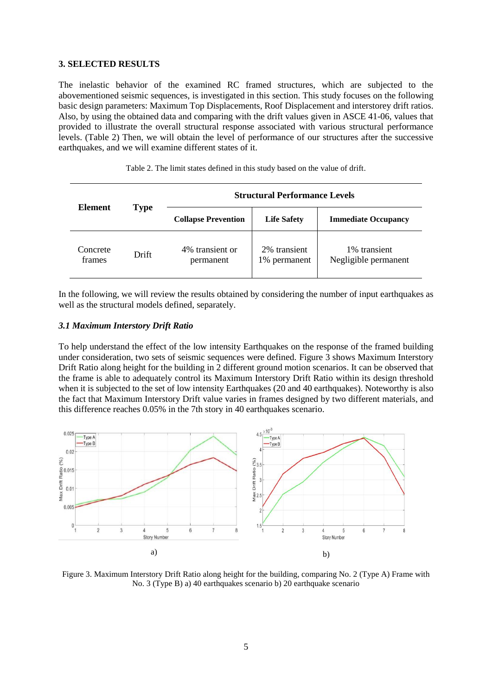#### **3. SELECTED RESULTS**

The inelastic behavior of the examined RC framed structures, which are subjected to the abovementioned seismic sequences, is investigated in this section. This study focuses on the following basic design parameters: Maximum Top Displacements, Roof Displacement and interstorey drift ratios. Also, by using the obtained data and comparing with the drift values given in ASCE 41-06, values that provided to illustrate the overall structural response associated with various structural performance levels. (Table 2) Then, we will obtain the level of performance of our structures after the successive earthquakes, and we will examine different states of it.

|                    | Element<br>Type | <b>Structural Performance Levels</b> |                              |                                      |
|--------------------|-----------------|--------------------------------------|------------------------------|--------------------------------------|
|                    |                 | <b>Collapse Prevention</b>           | <b>Life Safety</b>           | <b>Immediate Occupancy</b>           |
| Concrete<br>frames | Drift           | 4% transient or<br>permanent         | 2% transient<br>1% permanent | 1% transient<br>Negligible permanent |

Table 2. The limit states defined in this study based on the value of drift.

In the following, we will review the results obtained by considering the number of input earthquakes as well as the structural models defined, separately.

#### *3.1 Maximum Interstory Drift Ratio*

To help understand the effect of the low intensity Earthquakes on the response of the framed building under consideration, two sets of seismic sequences were defined. Figure 3 shows Maximum Interstory Drift Ratio along height for the building in 2 different ground motion scenarios. It can be observed that the frame is able to adequately control its Maximum Interstory Drift Ratio within its design threshold when it is subjected to the set of low intensity Earthquakes (20 and 40 earthquakes). Noteworthy is also the fact that Maximum Interstory Drift value varies in frames designed by two different materials, and this difference reaches 0.05% in the 7th story in 40 earthquakes scenario.



Figure 3. Maximum Interstory Drift Ratio along height for the building, comparing No. 2 (Type A) Frame with No. 3 (Type B) a) 40 earthquakes scenario b) 20 earthquake scenario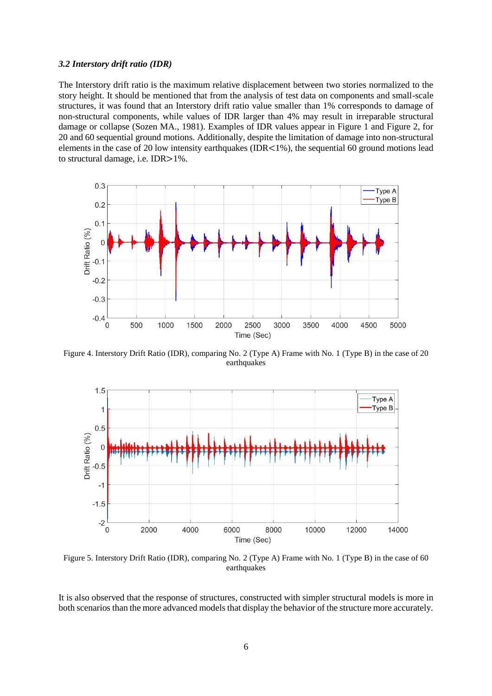#### *3.2 Interstory drift ratio (IDR)*

The Interstory drift ratio is the maximum relative displacement between two stories normalized to the story height. It should be mentioned that from the analysis of test data on components and small-scale structures, it was found that an Interstory drift ratio value smaller than 1% corresponds to damage of non-structural components, while values of IDR larger than 4% may result in irreparable structural damage or collapse (Sozen MA., 1981). Examples of IDR values appear in Figure 1 and Figure 2, for 20 and 60 sequential ground motions. Additionally, despite the limitation of damage into non-structural elements in the case of 20 low intensity earthquakes (IDR $\lt 1\%$ ), the sequential 60 ground motions lead to structural damage, i.e. IDR>1%.



Figure 4. Interstory Drift Ratio (IDR), comparing No. 2 (Type A) Frame with No. 1 (Type B) in the case of 20 earthquakes



Figure 5. Interstory Drift Ratio (IDR), comparing No. 2 (Type A) Frame with No. 1 (Type B) in the case of 60 earthquakes

It is also observed that the response of structures, constructed with simpler structural models is more in both scenarios than the more advanced models that display the behavior of the structure more accurately.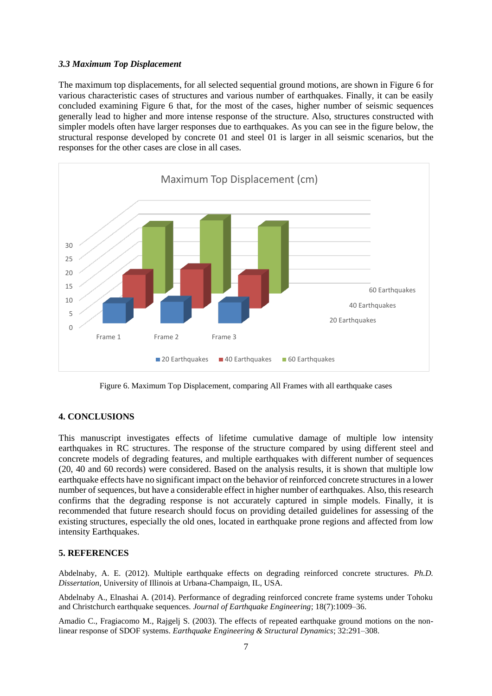#### *3.3 Maximum Top Displacement*

The maximum top displacements, for all selected sequential ground motions, are shown in Figure 6 for various characteristic cases of structures and various number of earthquakes. Finally, it can be easily concluded examining Figure 6 that, for the most of the cases, higher number of seismic sequences generally lead to higher and more intense response of the structure. Also, structures constructed with simpler models often have larger responses due to earthquakes. As you can see in the figure below, the structural response developed by concrete 01 and steel 01 is larger in all seismic scenarios, but the responses for the other cases are close in all cases.



Figure 6. Maximum Top Displacement, comparing All Frames with all earthquake cases

# **4. CONCLUSIONS**

This manuscript investigates effects of lifetime cumulative damage of multiple low intensity earthquakes in RC structures. The response of the structure compared by using different steel and concrete models of degrading features, and multiple earthquakes with different number of sequences (20, 40 and 60 records) were considered. Based on the analysis results, it is shown that multiple low earthquake effects have no significant impact on the behavior of reinforced concrete structures in a lower number of sequences, but have a considerable effect in higher number of earthquakes. Also, this research confirms that the degrading response is not accurately captured in simple models. Finally, it is recommended that future research should focus on providing detailed guidelines for assessing of the existing structures, especially the old ones, located in earthquake prone regions and affected from low intensity Earthquakes.

## **5. REFERENCES**

Abdelnaby, A. E. (2012). Multiple earthquake effects on degrading reinforced concrete structures. *Ph.D. Dissertation*, University of Illinois at Urbana-Champaign, IL, USA.

Abdelnaby A., Elnashai A. (2014). Performance of degrading reinforced concrete frame systems under Tohoku and Christchurch earthquake sequences*. Journal of Earthquake Engineering*; 18(7):1009–36.

Amadio C., Fragiacomo M., Rajgelj S. (2003). The effects of repeated earthquake ground motions on the nonlinear response of SDOF systems. *Earthquake Engineering & Structural Dynamics*; 32:291–308.